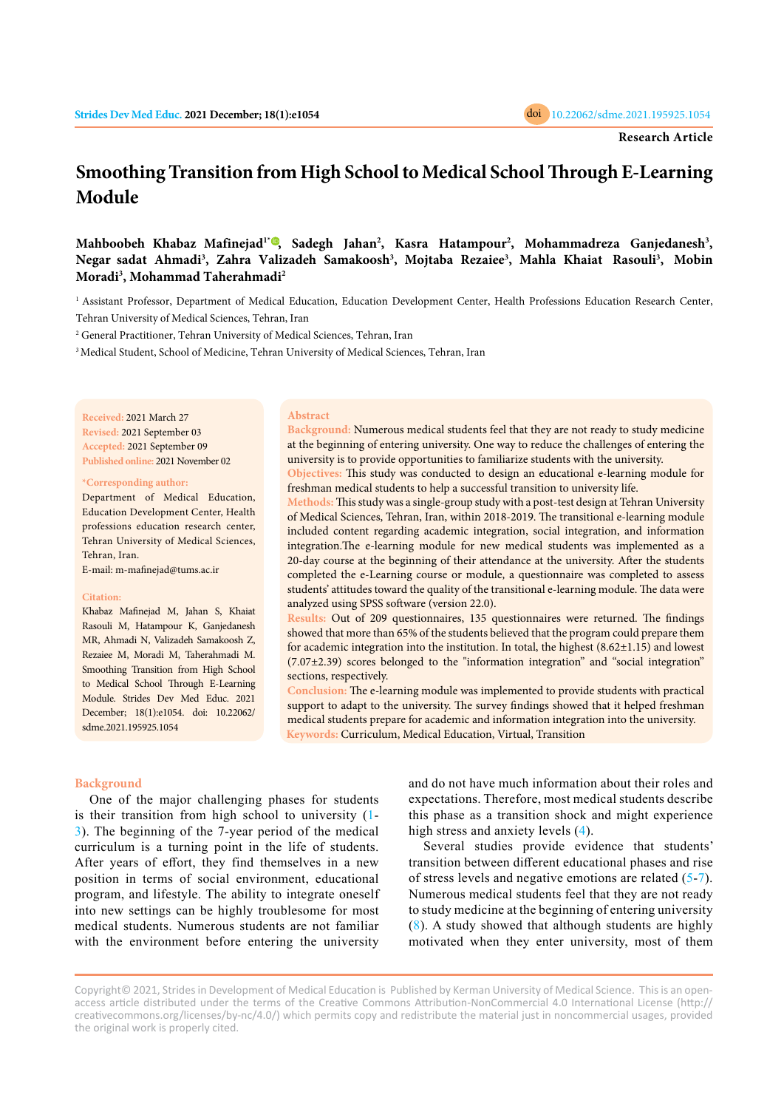

# **Smoothing Transition from High School to Medical School Through E-Learning Module**

**Mahboobeh Khabaz Mafinejad1\* [,](https://orcid.org/0000-0002-9578-4172) Sadegh Jahan<sup>2</sup> , Kasra Hatampour<sup>2</sup> , Mohammadreza Ganjedanesh<sup>3</sup> ,**  Negar sadat Ahmadi<sup>3</sup>, Zahra Valizadeh Samakoosh<sup>3</sup>, Mojtaba Rezaiee<sup>3</sup>, Mahla Khaiat Rasouli<sup>3</sup>, Mobin **Moradi<sup>3</sup> , Mohammad Taherahmadi<sup>2</sup>**

<sup>1</sup> Assistant Professor, Department of Medical Education, Education Development Center, Health Professions Education Research Center, Tehran University of Medical Sciences, Tehran, Iran

<sup>2</sup> General Practitioner, Tehran University of Medical Sciences, Tehran, Iran

<sup>3</sup> Medical Student, School of Medicine, Tehran University of Medical Sciences, Tehran, Iran

**Received:** 2021 March 27 **Revised:** 2021 September 03 **Accepted:** 2021 September 09 **Published online:** 2021 November 02

**\*Corresponding author:**

Department of Medical Education, Education Development Center, Health professions education research center, Tehran University of Medical Sciences, Tehran, Iran.

E-mail: m-mafinejad@tums.ac.ir

#### **Citation:**

Khabaz Mafinejad M, Jahan S, Khaiat Rasouli M, Hatampour K, Ganjedanesh MR, Ahmadi N, Valizadeh Samakoosh Z, Rezaiee M, Moradi M, Taherahmadi M. Smoothing Transition from High School to Medical School Through E-Learning Module. Strides Dev Med Educ. 2021 December; 18(1):e1054. doi: 10.22062/ sdme.2021.195925.1054

#### **Abstract**

**Background:** Numerous medical students feel that they are not ready to study medicine at the beginning of entering university. One way to reduce the challenges of entering the university is to provide opportunities to familiarize students with the university.

**Objectives:** This study was conducted to design an educational e-learning module for freshman medical students to help a successful transition to university life.

**Methods:** This study was a single-group study with a post-test design at Tehran University of Medical Sciences, Tehran, Iran, within 2018-2019. The transitional e-learning module included content regarding academic integration, social integration, and information integration.The e-learning module for new medical students was implemented as a 20-day course at the beginning of their attendance at the university. After the students completed the e-Learning course or module, a questionnaire was completed to assess students' attitudes toward the quality of the transitional e-learning module. The data were analyzed using SPSS software (version 22.0).

**Results:** Out of 209 questionnaires, 135 questionnaires were returned. The findings showed that more than 65% of the students believed that the program could prepare them for academic integration into the institution. In total, the highest  $(8.62\pm1.15)$  and lowest (7.07±2.39) scores belonged to the "information integration" and "social integration" sections, respectively.

**Conclusion:** The e-learning module was implemented to provide students with practical support to adapt to the university. The survey findings showed that it helped freshman medical students prepare for academic and information integration into the university. **Keywords:** Curriculum, Medical Education, Virtual, Transition

# **Background**

One of the major challenging phases for students is their transition from high school to university ([1](#page-4-0)- [3](#page-4-0)). The beginning of the 7-year period of the medical curriculum is a turning point in the life of students. After years of effort, they find themselves in a new position in terms of social environment, educational program, and lifestyle. The ability to integrate oneself into new settings can be highly troublesome for most medical students. Numerous students are not familiar with the environment before entering the university

and do not have much information about their roles and expectations. Therefore, most medical students describe this phase as a transition shock and might experience high stress and anxiety levels ([4](#page-4-0)).

Several studies provide evidence that students' transition between different educational phases and rise of stress levels and negative emotions are related ([5-](#page-4-0)[7](#page-4-0)). Numerous medical students feel that they are not ready to study medicine at the beginning of entering university ([8](#page-4-0)). A study showed that although students are highly motivated when they enter university, most of them

Copyright© 2021, Strides in Development of Medical Education is Published by Kerman University of Medical Science. This is an openaccess article distributed under the terms of the Creative Commons Attribution-NonCommercial 4.0 International License (http:// creativecommons.org/licenses/by-nc/4.0/) which permits copy and redistribute the material just in noncommercial usages, provided the original work is properly cited.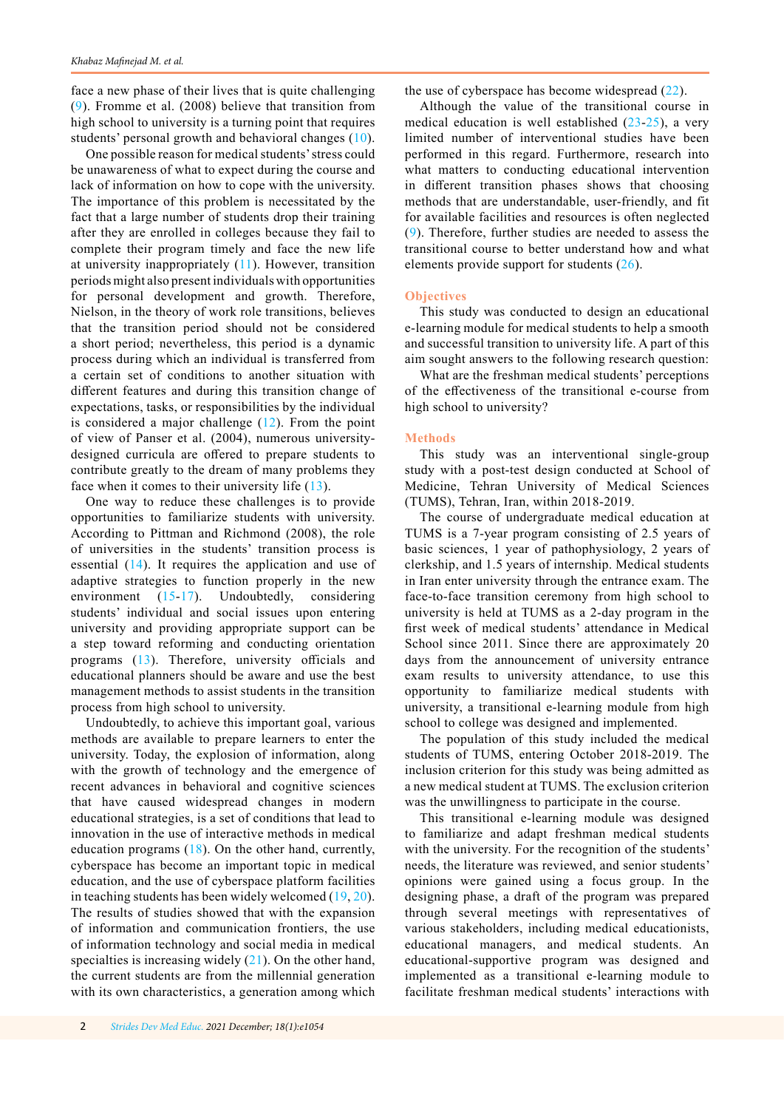face a new phase of their lives that is quite challenging ([9](#page-5-0)). Fromme et al. (2008) believe that transition from high school to university is a turning point that requires students' personal growth and behavioral changes [\(10](#page-5-0)).

One possible reason for medical students' stress could be unawareness of what to expect during the course and lack of information on how to cope with the university. The importance of this problem is necessitated by the fact that a large number of students drop their training after they are enrolled in colleges because they fail to complete their program timely and face the new life at university inappropriately ([11](#page-5-0)). However, transition periods might also present individuals with opportunities for personal development and growth. Therefore, Nielson, in the theory of work role transitions, believes that the transition period should not be considered a short period; nevertheless, this period is a dynamic process during which an individual is transferred from a certain set of conditions to another situation with different features and during this transition change of expectations, tasks, or responsibilities by the individual is considered a major challenge  $(12)$ . From the point of view of Panser et al. (2004), numerous universitydesigned curricula are offered to prepare students to contribute greatly to the dream of many problems they face when it comes to their university life ([13](#page-5-0)).

One way to reduce these challenges is to provide opportunities to familiarize students with university. According to Pittman and Richmond (2008), the role of universities in the students' transition process is essential ([14](#page-5-0)). It requires the application and use of adaptive strategies to function properly in the new environment ([15-](#page-5-0)[17](#page-5-0)). Undoubtedly, considering students' individual and social issues upon entering university and providing appropriate support can be a step toward reforming and conducting orientation programs ([13](#page-5-0)). Therefore, university officials and educational planners should be aware and use the best management methods to assist students in the transition process from high school to university.

Undoubtedly, to achieve this important goal, various methods are available to prepare learners to enter the university. Today, the explosion of information, along with the growth of technology and the emergence of recent advances in behavioral and cognitive sciences that have caused widespread changes in modern educational strategies, is a set of conditions that lead to innovation in the use of interactive methods in medical education programs ([18](#page-5-0)). On the other hand, currently, cyberspace has become an important topic in medical education, and the use of cyberspace platform facilities in teaching students has been widely welcomed ([19](#page-5-0), [20](#page-5-0)). The results of studies showed that with the expansion of information and communication frontiers, the use of information technology and social media in medical specialties is increasing widely  $(21)$  $(21)$ . On the other hand, the current students are from the millennial generation with its own characteristics, a generation among which

the use of cyberspace has become widespread  $(22)$  $(22)$  $(22)$ .

Although the value of the transitional course in medical education is well established  $(23-25)$  $(23-25)$  $(23-25)$  $(23-25)$  $(23-25)$ , a very limited number of interventional studies have been performed in this regard. Furthermore, research into what matters to conducting educational intervention in different transition phases shows that choosing methods that are understandable, user-friendly, and fit for available facilities and resources is often neglected ([9](#page-5-0)). Therefore, further studies are needed to assess the transitional course to better understand how and what elements provide support for students ([26](#page-5-0)).

# **Objectives**

This study was conducted to design an educational e-learning module for medical students to help a smooth and successful transition to university life. A part of this aim sought answers to the following research question:

What are the freshman medical students' perceptions of the effectiveness of the transitional e-course from high school to university?

## **Methods**

This study was an interventional single-group study with a post-test design conducted at School of Medicine, Tehran University of Medical Sciences (TUMS), Tehran, Iran, within 2018-2019.

The course of undergraduate medical education at TUMS is a 7-year program consisting of 2.5 years of basic sciences, 1 year of pathophysiology, 2 years of clerkship, and 1.5 years of internship. Medical students in Iran enter university through the entrance exam. The face-to-face transition ceremony from high school to university is held at TUMS as a 2-day program in the first week of medical students' attendance in Medical School since 2011. Since there are approximately 20 days from the announcement of university entrance exam results to university attendance, to use this opportunity to familiarize medical students with university, a transitional e-learning module from high school to college was designed and implemented.

The population of this study included the medical students of TUMS, entering October 2018-2019. The inclusion criterion for this study was being admitted as a new medical student at TUMS. The exclusion criterion was the unwillingness to participate in the course.

This transitional e-learning module was designed to familiarize and adapt freshman medical students with the university. For the recognition of the students' needs, the literature was reviewed, and senior students' opinions were gained using a focus group. In the designing phase, a draft of the program was prepared through several meetings with representatives of various stakeholders, including medical educationists, educational managers, and medical students. An educational-supportive program was designed and implemented as a transitional e-learning module to facilitate freshman medical students' interactions with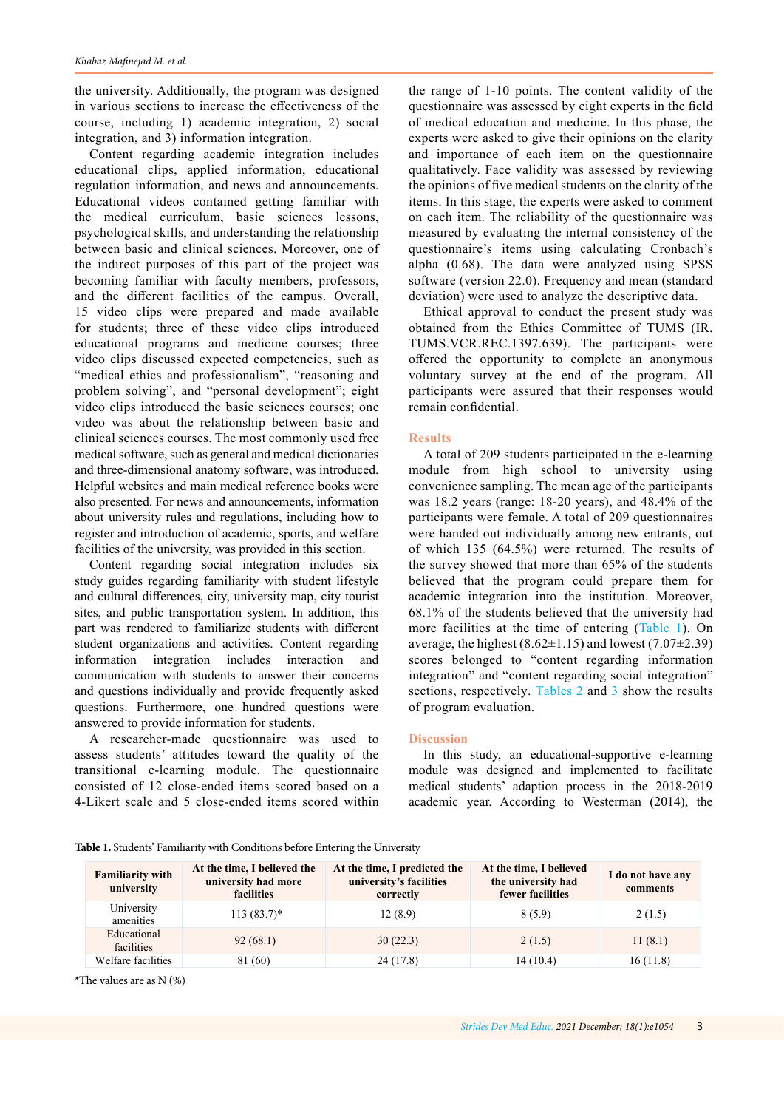the university. Additionally, the program was designed in various sections to increase the effectiveness of the course, including 1) academic integration, 2) social integration, and 3) information integration.

Content regarding academic integration includes educational clips, applied information, educational regulation information, and news and announcements. Educational videos contained getting familiar with the medical curriculum, basic sciences lessons, psychological skills, and understanding the relationship between basic and clinical sciences. Moreover, one of the indirect purposes of this part of the project was becoming familiar with faculty members, professors, and the different facilities of the campus. Overall, 15 video clips were prepared and made available for students; three of these video clips introduced educational programs and medicine courses; three video clips discussed expected competencies, such as "medical ethics and professionalism", "reasoning and problem solving", and "personal development"; eight video clips introduced the basic sciences courses; one video was about the relationship between basic and clinical sciences courses. The most commonly used free medical software, such as general and medical dictionaries and three-dimensional anatomy software, was introduced. Helpful websites and main medical reference books were also presented. For news and announcements, information about university rules and regulations, including how to register and introduction of academic, sports, and welfare facilities of the university, was provided in this section.

Content regarding social integration includes six study guides regarding familiarity with student lifestyle and cultural differences, city, university map, city tourist sites, and public transportation system. In addition, this part was rendered to familiarize students with different student organizations and activities. Content regarding information integration includes interaction and communication with students to answer their concerns and questions individually and provide frequently asked questions. Furthermore, one hundred questions were answered to provide information for students.

A researcher-made questionnaire was used to assess students' attitudes toward the quality of the transitional e-learning module. The questionnaire consisted of 12 close-ended items scored based on a 4-Likert scale and 5 close-ended items scored within the range of 1-10 points. The content validity of the questionnaire was assessed by eight experts in the field of medical education and medicine. In this phase, the experts were asked to give their opinions on the clarity and importance of each item on the questionnaire qualitatively. Face validity was assessed by reviewing the opinions of five medical students on the clarity of the items. In this stage, the experts were asked to comment on each item. The reliability of the questionnaire was measured by evaluating the internal consistency of the questionnaire's items using calculating Cronbach's alpha (0.68). The data were analyzed using SPSS software (version 22.0). Frequency and mean (standard deviation) were used to analyze the descriptive data.

Ethical approval to conduct the present study was obtained from the Ethics Committee of TUMS (IR. TUMS.VCR.REC.1397.639). The participants were offered the opportunity to complete an anonymous voluntary survey at the end of the program. All participants were assured that their responses would remain confidential.

# **Results**

A total of 209 students participated in the e-learning module from high school to university using convenience sampling. The mean age of the participants was 18.2 years (range: 18-20 years), and 48.4% of the participants were female. A total of 209 questionnaires were handed out individually among new entrants, out of which 135 (64.5%) were returned. The results of the survey showed that more than 65% of the students believed that the program could prepare them for academic integration into the institution. Moreover, 68.1% of the students believed that the university had more facilities at the time of entering (Table 1). On average, the highest  $(8.62\pm1.15)$  and lowest  $(7.07\pm2.39)$ scores belonged to "content regarding information integration" and "content regarding social integration" sections, respectively. [Tables 2 a](#page-3-0)nd [3 s](#page-3-1)how the results of program evaluation.

## **Discussion**

In this study, an educational-supportive e-learning module was designed and implemented to facilitate medical students' adaption process in the 2018-2019 academic year. According to Westerman (2014), the

|  |  | Table 1. Students' Familiarity with Conditions before Entering the University |  |  |
|--|--|-------------------------------------------------------------------------------|--|--|
|--|--|-------------------------------------------------------------------------------|--|--|

| <b>Familiarity with</b><br>university | At the time, I believed the<br>university had more<br><b>facilities</b> | At the time, I predicted the<br>university's facilities<br>correctly | At the time, I believed<br>the university had<br>fewer facilities | I do not have any<br>comments |
|---------------------------------------|-------------------------------------------------------------------------|----------------------------------------------------------------------|-------------------------------------------------------------------|-------------------------------|
| University<br>amenities               | $113(83.7)^*$                                                           | 12(8.9)                                                              | 8(5.9)                                                            | 2(1.5)                        |
| Educational<br>facilities             | 92(68.1)                                                                | 30(22.3)                                                             | 2(1.5)                                                            | 11(8.1)                       |
| Welfare facilities                    | 81 (60)                                                                 | 24(17.8)                                                             | 14(10.4)                                                          | 16(11.8)                      |

\*The values are as N (%)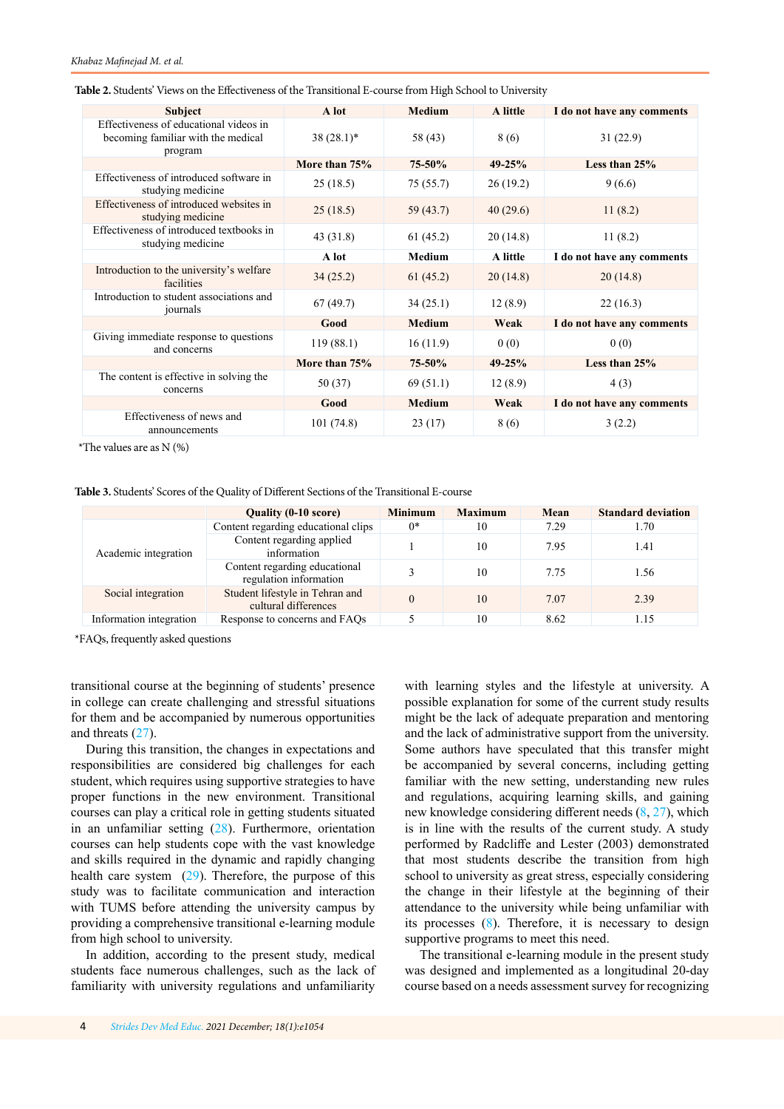| <b>Subject</b>                                                                          | A lot         | <b>Medium</b> | A little   | I do not have any comments |
|-----------------------------------------------------------------------------------------|---------------|---------------|------------|----------------------------|
| Effectiveness of educational videos in<br>becoming familiar with the medical<br>program | $38(28.1)^*$  | 58 (43)       | 8 (6)      | 31(22.9)                   |
|                                                                                         | More than 75% | 75-50%        | $49 - 25%$ | Less than $25%$            |
| Effectiveness of introduced software in<br>studying medicine                            | 25(18.5)      | 75(55.7)      | 26(19.2)   | 9(6.6)                     |
| Effectiveness of introduced websites in<br>studying medicine                            | 25(18.5)      | 59(43.7)      | 40(29.6)   | 11(8.2)                    |
| Effectiveness of introduced textbooks in<br>studying medicine                           | 43 (31.8)     | 61(45.2)      | 20(14.8)   | 11(8.2)                    |
|                                                                                         | A lot         | <b>Medium</b> | A little   | I do not have any comments |
| Introduction to the university's welfare<br>facilities                                  | 34(25.2)      | 61(45.2)      | 20(14.8)   | 20(14.8)                   |
| Introduction to student associations and<br>iournals                                    | 67(49.7)      | 34(25.1)      | 12(8.9)    | 22(16.3)                   |
|                                                                                         | Good          | <b>Medium</b> | Weak       | I do not have any comments |
| Giving immediate response to questions<br>and concerns                                  | 119(88.1)     | 16(11.9)      | 0(0)       | 0(0)                       |
|                                                                                         | More than 75% | 75-50%        | $49 - 25%$ | Less than $25%$            |
| The content is effective in solving the<br>concerns                                     | 50 (37)       | 69 (51.1)     | 12(8.9)    | 4(3)                       |
|                                                                                         | Good          | <b>Medium</b> | Weak       | I do not have any comments |
| Effectiveness of news and<br>announcements                                              | 101(74.8)     | 23(17)        | 8 (6)      | 3(2.2)                     |

<span id="page-3-1"></span><span id="page-3-0"></span>**Table 2.** Students' Views on the Effectiveness of the Transitional E-course from High School to University

\*The values are as  $N$  (%)

**Table 3.** Students' Scores of the Quality of Different Sections of the Transitional E-course

|                         | <b>Ouality (0-10 score)</b>                             | <b>Minimum</b> | <b>Maximum</b> | Mean | <b>Standard deviation</b> |
|-------------------------|---------------------------------------------------------|----------------|----------------|------|---------------------------|
| Academic integration    | Content regarding educational clips                     | $0*$           | 10             | 7.29 | 1.70                      |
|                         | Content regarding applied<br>information                |                | 10             | 7.95 | 1.41                      |
|                         | Content regarding educational<br>regulation information |                | 10             | 7.75 | 1.56                      |
| Social integration      | Student lifestyle in Tehran and<br>cultural differences |                | 10             | 7.07 | 2.39                      |
| Information integration | Response to concerns and FAOs                           |                | 10             | 8.62 | 1.15                      |

\*FAQs, frequently asked questions

transitional course at the beginning of students' presence in college can create challenging and stressful situations for them and be accompanied by numerous opportunities and threats [\(27](#page-5-0)).

During this transition, the changes in expectations and responsibilities are considered big challenges for each student, which requires using supportive strategies to have proper functions in the new environment. Transitional courses can play a critical role in getting students situated in an unfamiliar setting [\(28](#page-5-0)). Furthermore, orientation courses can help students cope with the vast knowledge and skills required in the dynamic and rapidly changing health care system  $(29)$  $(29)$ . Therefore, the purpose of this study was to facilitate communication and interaction with TUMS before attending the university campus by providing a comprehensive transitional e-learning module from high school to university.

In addition, according to the present study, medical students face numerous challenges, such as the lack of familiarity with university regulations and unfamiliarity

with learning styles and the lifestyle at university. A possible explanation for some of the current study results might be the lack of adequate preparation and mentoring and the lack of administrative support from the university. Some authors have speculated that this transfer might be accompanied by several concerns, including getting familiar with the new setting, understanding new rules and regulations, acquiring learning skills, and gaining new knowledge considering different needs ([8](#page-4-0), [27\)](#page-5-0), which is in line with the results of the current study. A study performed by Radcliffe and Lester (2003) demonstrated that most students describe the transition from high school to university as great stress, especially considering the change in their lifestyle at the beginning of their attendance to the university while being unfamiliar with its processes ([8](#page-4-0)). Therefore, it is necessary to design supportive programs to meet this need.

The transitional e-learning module in the present study was designed and implemented as a longitudinal 20-day course based on a needs assessment survey for recognizing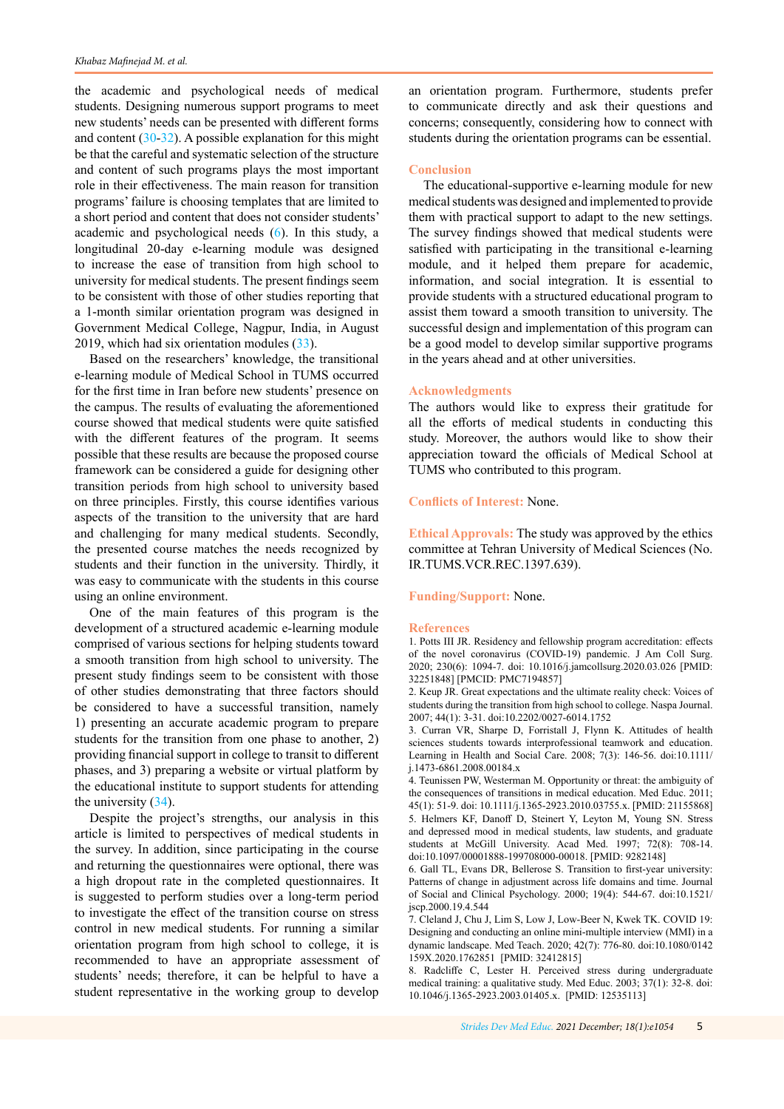<span id="page-4-0"></span>the academic and psychological needs of medical students. Designing numerous support programs to meet new students' needs can be presented with different forms and content  $(30-32)$  $(30-32)$  $(30-32)$  $(30-32)$  $(30-32)$ . A possible explanation for this might be that the careful and systematic selection of the structure and content of such programs plays the most important role in their effectiveness. The main reason for transition programs' failure is choosing templates that are limited to a short period and content that does not consider students' academic and psychological needs (6). In this study, a longitudinal 20-day e-learning module was designed to increase the ease of transition from high school to university for medical students. The present findings seem to be consistent with those of other studies reporting that a 1-month similar orientation program was designed in Government Medical College, Nagpur, India, in August 2019, which had six orientation modules ([33](#page-5-0)).

Based on the researchers' knowledge, the transitional e-learning module of Medical School in TUMS occurred for the first time in Iran before new students' presence on the campus. The results of evaluating the aforementioned course showed that medical students were quite satisfied with the different features of the program. It seems possible that these results are because the proposed course framework can be considered a guide for designing other transition periods from high school to university based on three principles. Firstly, this course identifies various aspects of the transition to the university that are hard and challenging for many medical students. Secondly, the presented course matches the needs recognized by students and their function in the university. Thirdly, it was easy to communicate with the students in this course using an online environment.

One of the main features of this program is the development of a structured academic e-learning module comprised of various sections for helping students toward a smooth transition from high school to university. The present study findings seem to be consistent with those of other studies demonstrating that three factors should be considered to have a successful transition, namely 1) presenting an accurate academic program to prepare students for the transition from one phase to another, 2) providing financial support in college to transit to different phases, and 3) preparing a website or virtual platform by the educational institute to support students for attending the university ([34](#page-5-0)).

Despite the project's strengths, our analysis in this article is limited to perspectives of medical students in the survey. In addition, since participating in the course and returning the questionnaires were optional, there was a high dropout rate in the completed questionnaires. It is suggested to perform studies over a long-term period to investigate the effect of the transition course on stress control in new medical students. For running a similar orientation program from high school to college, it is recommended to have an appropriate assessment of students' needs; therefore, it can be helpful to have a student representative in the working group to develop

an orientation program. Furthermore, students prefer to communicate directly and ask their questions and concerns; consequently, considering how to connect with students during the orientation programs can be essential.

## **Conclusion**

The educational-supportive e-learning module for new medical students was designed and implemented to provide them with practical support to adapt to the new settings. The survey findings showed that medical students were satisfied with participating in the transitional e-learning module, and it helped them prepare for academic, information, and social integration. It is essential to provide students with a structured educational program to assist them toward a smooth transition to university. The successful design and implementation of this program can be a good model to develop similar supportive programs in the years ahead and at other universities.

#### **Acknowledgments**

The authors would like to express their gratitude for all the efforts of medical students in conducting this study. Moreover, the authors would like to show their appreciation toward the officials of Medical School at TUMS who contributed to this program.

### **Conflicts of Interest:** None.

**Ethical Approvals:** The study was approved by the ethics committee at Tehran University of Medical Sciences (No. IR.TUMS.VCR.REC.1397.639).

## **Funding/Support:** None.

#### **References**

1. Potts III JR. Residency and fellowship program accreditation: effects of the novel coronavirus (COVID-19) pandemic. J Am Coll Surg. 2020; 230(6): 1094-7. doi: 10.1016/j.jamcollsurg.2020.03.026 [PMID: 32251848] [PMCID: PMC7194857]

2. Keup JR. Great expectations and the ultimate reality check: Voices of students during the transition from high school to college. Naspa Journal. 2007; 44(1): 3-31. doi:10.2202/0027-6014.1752

3. Curran VR, Sharpe D, Forristall J, Flynn K. Attitudes of health sciences students towards interprofessional teamwork and education. Learning in Health and Social Care. 2008; 7(3): 146-56. doi:10.1111/ j.1473-6861.2008.00184.x

4. Teunissen PW, Westerman M. Opportunity or threat: the ambiguity of the consequences of transitions in medical education. Med Educ. 2011; 45(1): 51-9. doi: 10.1111/j.1365-2923.2010.03755.x. [PMID: 21155868] 5. Helmers KF, Danoff D, Steinert Y, Leyton M, Young SN. Stress and depressed mood in medical students, law students, and graduate students at McGill University. Acad Med. 1997; 72(8): 708-14. doi:10.1097/00001888-199708000-00018. [PMID: 9282148]

6. Gall TL, Evans DR, Bellerose S. Transition to first-year university: Patterns of change in adjustment across life domains and time. Journal of Social and Clinical Psychology. 2000; 19(4): 544-67. doi:10.1521/ jscp.2000.19.4.544

7. Cleland J, Chu J, Lim S, Low J, Low-Beer N, Kwek TK. COVID 19: Designing and conducting an online mini-multiple interview (MMI) in a dynamic landscape. Med Teach. 2020; 42(7): 776-80. doi:10.1080/0142 159X.2020.1762851 [PMID: 32412815]

8. Radcliffe C, Lester H. Perceived stress during undergraduate medical training: a qualitative study. Med Educ. 2003; 37(1): 32-8. doi: 10.1046/j.1365-2923.2003.01405.x. [PMID: 12535113]